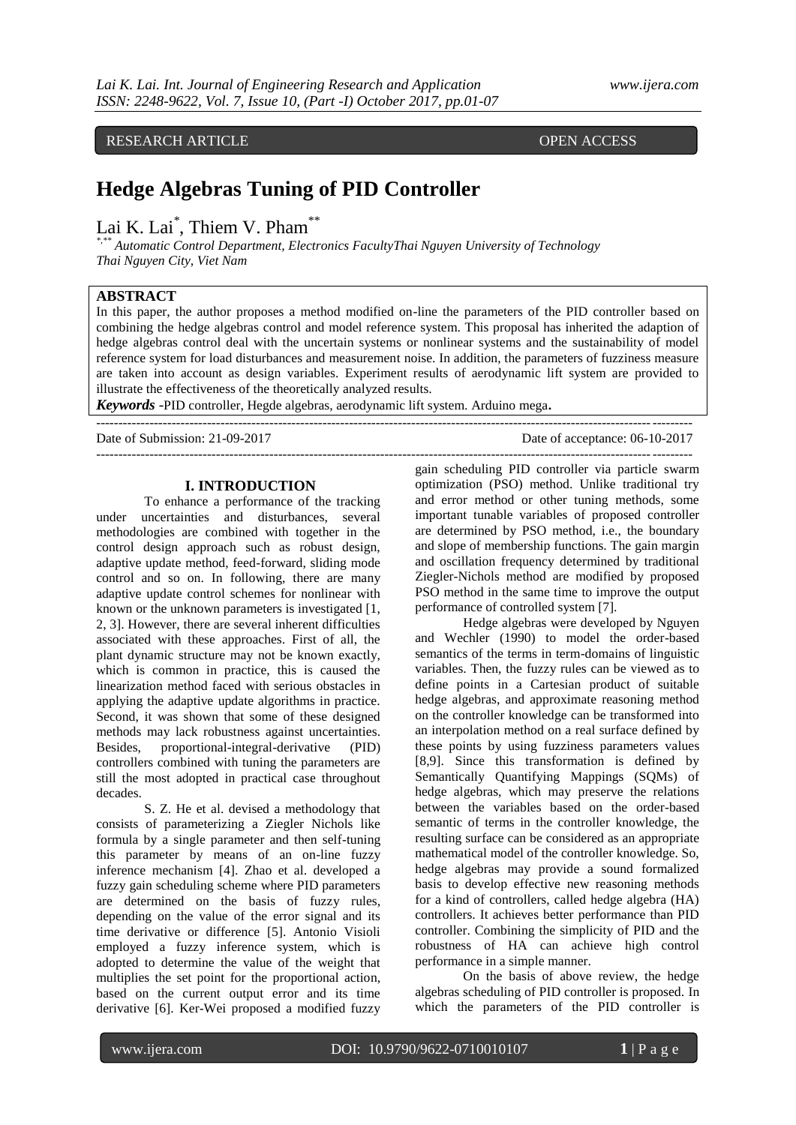**A. RESEARCH ARTICLE COPEN ACCESS** 

# **Hedge Algebras Tuning of PID Controller**

Lai K. Lai<sup>\*</sup>, Thiem V. Pham<sup>\*\*</sup>

*\*,\*\* Automatic Control Department, Electronics FacultyThai Nguyen University of Technology Thai Nguyen City, Viet Nam*

## **ABSTRACT**

In this paper, the author proposes a method modified on-line the parameters of the PID controller based on combining the hedge algebras control and model reference system. This proposal has inherited the adaption of hedge algebras control deal with the uncertain systems or nonlinear systems and the sustainability of model reference system for load disturbances and measurement noise. In addition, the parameters of fuzziness measure are taken into account as design variables. Experiment results of aerodynamic lift system are provided to illustrate the effectiveness of the theoretically analyzed results.

--------------------------------------------------------------------------------------------------------------------------------------

*Keywords* -PID controller, Hegde algebras, aerodynamic lift system. Arduino mega**.**

Date of Submission: 21-09-2017 Date of acceptance: 06-10-2017

#### **I. INTRODUCTION**

To enhance a performance of the tracking under uncertainties and disturbances, several methodologies are combined with together in the control design approach such as robust design, adaptive update method, feed-forward, sliding mode control and so on. In following, there are many adaptive update control schemes for nonlinear with known or the unknown parameters is investigated [1, 2, 3]. However, there are several inherent difficulties associated with these approaches. First of all, the plant dynamic structure may not be known exactly, which is common in practice, this is caused the linearization method faced with serious obstacles in applying the adaptive update algorithms in practice. Second, it was shown that some of these designed methods may lack robustness against uncertainties. Besides, proportional-integral-derivative (PID) controllers combined with tuning the parameters are still the most adopted in practical case throughout decades.

S. Z. He et al. devised a methodology that consists of parameterizing a Ziegler Nichols like formula by a single parameter and then self-tuning this parameter by means of an on-line fuzzy inference mechanism [4]. Zhao et al. developed a fuzzy gain scheduling scheme where PID parameters are determined on the basis of fuzzy rules, depending on the value of the error signal and its time derivative or difference [5]. Antonio Visioli employed a fuzzy inference system, which is adopted to determine the value of the weight that multiplies the set point for the proportional action, based on the current output error and its time derivative [6]. Ker-Wei proposed a modified fuzzy

------------------------------------------------------------------------------------------------------------------------------------- gain scheduling PID controller via particle swarm optimization (PSO) method. Unlike traditional try and error method or other tuning methods, some important tunable variables of proposed controller are determined by PSO method, i.e., the boundary and slope of membership functions. The gain margin and oscillation frequency determined by traditional Ziegler-Nichols method are modified by proposed PSO method in the same time to improve the output performance of controlled system [7].

> Hedge algebras were developed by Nguyen and Wechler (1990) to model the order-based semantics of the terms in term-domains of linguistic variables. Then, the fuzzy rules can be viewed as to define points in a Cartesian product of suitable hedge algebras, and approximate reasoning method on the controller knowledge can be transformed into an interpolation method on a real surface defined by these points by using fuzziness parameters values [8,9]. Since this transformation is defined by Semantically Quantifying Mappings (SQMs) of hedge algebras, which may preserve the relations between the variables based on the order-based semantic of terms in the controller knowledge, the resulting surface can be considered as an appropriate mathematical model of the controller knowledge. So, hedge algebras may provide a sound formalized basis to develop effective new reasoning methods for a kind of controllers, called hedge algebra (HA) controllers. It achieves better performance than PID controller. Combining the simplicity of PID and the robustness of HA can achieve high control performance in a simple manner.

On the basis of above review, the hedge algebras scheduling of PID controller is proposed. In which the parameters of the PID controller is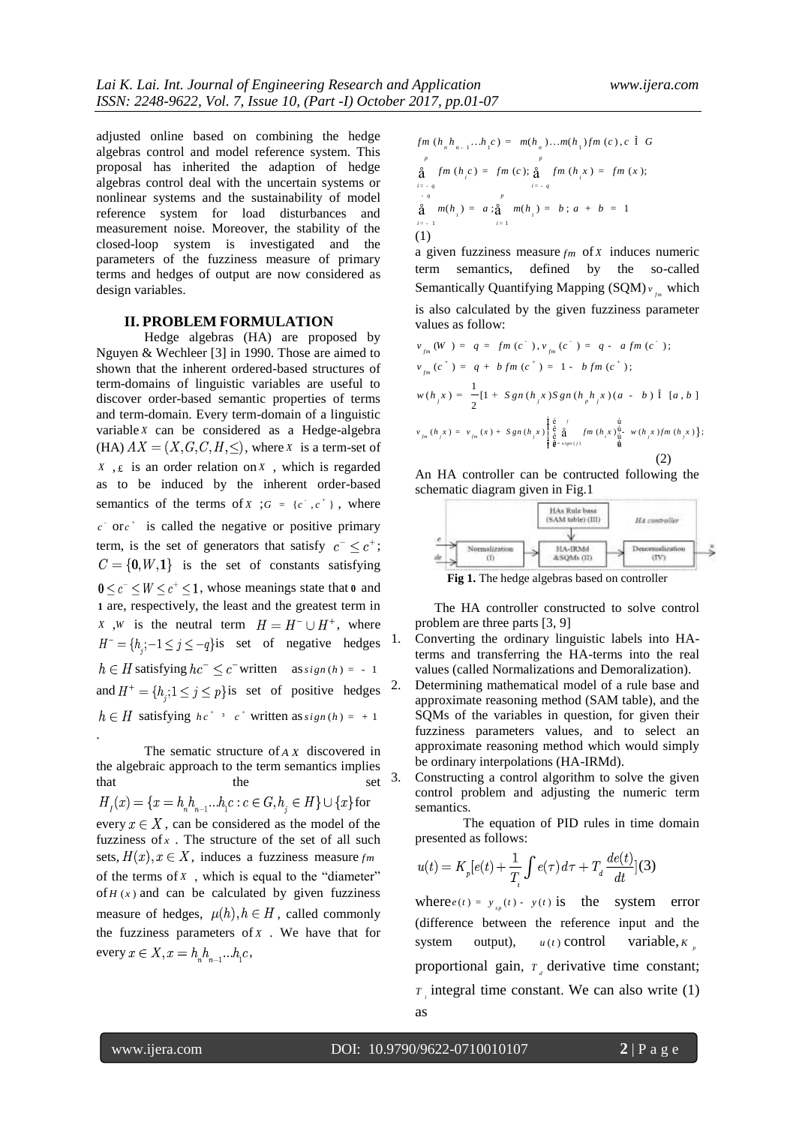adjusted online based on combining the hedge algebras control and model reference system. This proposal has inherited the adaption of hedge algebras control deal with the uncertain systems or nonlinear systems and the sustainability of model reference system for load disturbances and measurement noise. Moreover, the stability of the closed-loop system is investigated and the parameters of the fuzziness measure of primary terms and hedges of output are now considered as design variables.

## **II. PROBLEM FORMULATION**

Hedge algebras (HA) are proposed by Nguyen & Wechleer [3] in 1990. Those are aimed to shown that the inherent ordered-based structures of term-domains of linguistic variables are useful to discover order-based semantic properties of terms and term-domain. Every term-domain of a linguistic variable *X* can be considered as a Hedge-algebra  $(HA)$   $AX = (X, G, C, H, \leq),$  where *X* is a term-set of  $X$ ,  $E$  is an order relation on  $X$ , which is regarded as to be induced by the inherent order-based semantics of the terms of  $X$ ;  $G = \{c^{\dagger}, c^{\dagger}\}\$ , where  $c \text{ or } c^+$  is called the negative or positive primary term, is the set of generators that satisfy  $c^- < c^+$ ;  $C = \{0, W, 1\}$  is the set of constants satisfying , whose meanings state that **0** and **1** are, respectively, the least and the greatest term in *X*, *W* is the neutral term  $H = H^{-} \cup H^{+}$ , where  $H^- = \{h_i; -1 \leq j \leq -q\}$ is set of negative hedges satisfying  $hc^- \leq c^-$  written as  $sign(h) = -1$ and  $H^+ = \{h_i; 1 \leq j \leq p\}$  is set of positive hedges satisfying  $hc^{+}$ <sup>3</sup>  $c^{+}$  written as  $sign(h) = +1$ 

The sematic structure of *AX* discovered in the algebraic approach to the term semantics implies that the set  $H_{I}(x) = \{x = h_{n}h_{n-1}...h_{i}c : c \in G, h_{i} \in H\} \cup \{x\}$  for every  $x \in X$ , can be considered as the model of the fuzziness of  $x$ . The structure of the set of all such sets,  $H(x)$ ,  $x \in X$ , induces a fuzziness measure  $fm$ of the terms of *X* , which is equal to the "diameter" of  $H(x)$  and can be calculated by given fuzziness measure of hedges,  $\mu(h), h \in H$ , called commonly the fuzziness parameters of *X* . We have that for every  $x \in X$ ,  $x = h_n h_{n-1} \dots h_1 c$ ,

$$
fm (h_n h_{n-1}...h_1 c) = m(h_n)...m(h_1)fm (c), c \hat{1} G
$$
\n
$$
\stackrel{p}{\underset{i=-q}{\text{a}}} fm (h_i c) = fm (c); \stackrel{q}{\underset{i=-q}{\text{a}}} fm (h_i x) = fm (x);
$$
\n
$$
\stackrel{p}{\underset{i=-q}{\text{a}}} m(h_i) = a; \stackrel{p}{\underset{i=-q}{\text{a}}} m(h_i) = b; a + b = 1
$$
\n(1)

a given fuzziness measure *fm* of *X* induces numeric term semantics, defined by the so-called Semantically Quantifying Mapping (SQM)  $v_{f_m}$  which is also calculated by the given fuzziness parameter values as follow:

values as follows.  
\n
$$
v_{fm} (W) = q = fm (c^*) , v_{fm} (c^-) = q - a fm (c^*) ;
$$
\n
$$
v_{fm} (c^*) = q + b fm (c^*) = 1 - b fm (c^*);
$$
\n
$$
w(h_j x) = \frac{1}{2} [1 + Sgn (h_j x) Sgn (h_p h_j x) (a - b) \hat{1} [a, b]
$$
\n
$$
v_{fm} (h_j x) = v_{fm} (x) + Sgn (h_j x) \begin{cases} \frac{1}{6} & \text{if } \\ \frac{1}{6} & \text{if } \\ \frac{1}{6} & \text{if } \\ \frac{1}{6} & \text{if } \\ 0 & \text{if } \end{cases}
$$
\n
$$
(2)
$$

An HA controller can be contructed following the schematic diagram given in Fig.1



The HA controller constructed to solve control problem are three parts [3, 9]

1. Converting the ordinary linguistic labels into HAterms and transferring the HA-terms into the real values (called Normalizations and Demoralization).

- Determining mathematical model of a rule base and approximate reasoning method (SAM table), and the SQMs of the variables in question, for given their fuzziness parameters values, and to select an approximate reasoning method which would simply be ordinary interpolations (HA-IRMd).
- 3. Constructing a control algorithm to solve the given control problem and adjusting the numeric term semantics.

The equation of PID rules in time domain presented as follows:

$$
u(t) = K_p[e(t) + \frac{1}{T_i} \int e(\tau) d\tau + T_d \frac{de(t)}{dt}](3)
$$

where  $e(t) = y_{sp}(t) - y(t)$  is the system error (difference between the reference input and the system output),  $u(t)$  control control variable,  $K_{\mu}$ proportional gain,  $T_{d}$  derivative time constant;  $\overline{r}$  integral time constant. We can also write (1) as

.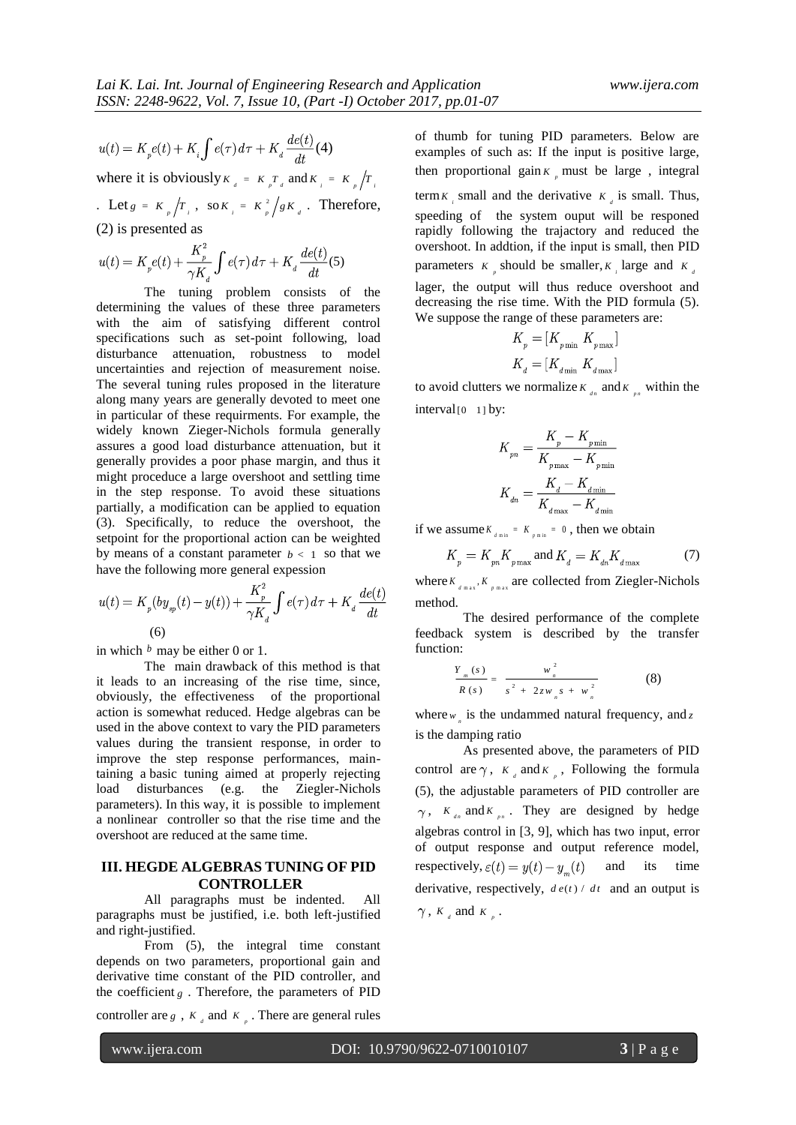$$
u(t) = K_{p}e(t) + K_{i}\int e(\tau)d\tau + K_{d}\frac{de(t)}{dt}(\tau)
$$

where it is obviously  $K_d = K_p T_d$  and  $K_i = K_p / T_i$ 

 $\text{Let } g = K_p / T_i, \text{ so } K_i = K_p^2 / g K_i. \text{ Therefore,}$ (2) is presented as

$$
u(t) = K_p e(t) + \frac{K_p^2}{\gamma K_d} \int e(\tau) d\tau + K_d \frac{de(t)}{dt} (5)
$$

The tuning problem consists of the determining the values of these three parameters with the aim of satisfying different control specifications such as set-point following, load disturbance attenuation, robustness to model uncertainties and rejection of measurement noise. The several tuning rules proposed in the literature along many years are generally devoted to meet one in particular of these requirments. For example, the widely known Zieger-Nichols formula generally assures a good load disturbance attenuation, but it generally provides a poor phase margin, and thus it might proceduce a large overshoot and settling time in the step response. To avoid these situations partially, a modification can be applied to equation (3). Specifically, to reduce the overshoot, the setpoint for the proportional action can be weighted by means of a constant parameter  $b < 1$  so that we have the following more general expession

$$
u(t) = K_p(by_{sp}(t) - y(t)) + \frac{K_p^2}{\gamma K_d} \int e(\tau) d\tau + K_d \frac{de(t)}{dt}
$$
\n(6)

in which  $<sup>b</sup>$  may be either 0 or 1.</sup>

The main drawback of this method is that it leads to an increasing of the rise time, since, obviously, the effectiveness of the proportional action is somewhat reduced. Hedge algebras can be used in the above context to vary the PID parameters values during the transient response, in order to improve the step response performances, maintaining a basic tuning aimed at properly rejecting load disturbances (e.g. the Ziegler-Nichols parameters). In this way, it is possible to implement a nonlinear controller so that the rise time and the overshoot are reduced at the same time.

## **III. HEGDE ALGEBRAS TUNING OF PID CONTROLLER**

All paragraphs must be indented. All paragraphs must be justified, i.e. both left-justified and right-justified.

From  $(5)$ , the integral time constant depends on two parameters, proportional gain and derivative time constant of the PID controller, and the coefficient *g* . Therefore, the parameters of PID

controller are  $g$ ,  $K_d$  and  $K_p$ . There are general rules

of thumb for tuning PID parameters. Below are examples of such as: If the input is positive large, then proportional gain  $K_{\rho}$  must be large, integral

term  $K_i$  small and the derivative  $K_i$  is small. Thus, speeding of the system ouput will be responed rapidly following the trajactory and reduced the overshoot. In addtion, if the input is small, then PID parameters  $K_p$  should be smaller,  $K_i$  large and  $K_a$ 

lager, the output will thus reduce overshoot and decreasing the rise time. With the PID formula (5). We suppose the range of these parameters are:

$$
K_p = [K_{p\min} \ K_{p\max}]
$$
  

$$
K_d = [K_{d\min} \ K_{d\max}]
$$

to avoid clutters we normalize  $K_{n}$  and  $K_{p}$  within the interval<sup>[0</sup> 1] by:

$$
K_{\scriptscriptstyle{pn}} = \frac{K_{\scriptscriptstyle{p}} - K_{\scriptscriptstyle{p}\,\rm{min}}}{K_{\scriptscriptstyle{p}\,\rm{max}} - K_{\scriptscriptstyle{p}\,\rm{min}}}
$$
 
$$
K_{\scriptscriptstyle{dn}} = \frac{K_{\scriptscriptstyle{d}} - K_{\scriptscriptstyle{d}\,\rm{min}}}{K_{\scriptscriptstyle{d}\,\rm{max}} - K_{\scriptscriptstyle{d}\,\rm{min}}}
$$

if we assume  $K_{\ell_{\min}} = K_{\ell_{\min}} = 0$ , then we obtain

$$
K_{_{p}}=K_{_{pn}K_{p\max}} \text{ and } K_{_{d}}=K_{_{dh}K_{_{d\max}}}\qquad \qquad \textbf{(7)}
$$

where  $K_{d_{\text{max}}}$ ,  $K_{p_{\text{max}}}$  are collected from Ziegler-Nichols method.

The desired performance of the complete feedback system is described by the transfer function:

$$
\frac{Y_{m}(s)}{R(s)} = \frac{w_{n}^{2}}{s^{2} + 2zw_{n}s + w_{n}^{2}}
$$
 (8)

where  $w_{n}$  is the undammed natural frequency, and z is the damping ratio

As presented above, the parameters of PID control are  $\gamma$ ,  $K_{d}$  and  $K_{p}$ , Following the formula (5), the adjustable parameters of PID controller are ,  $K_{\mu}$  and  $K_{\mu}$ . They are designed by hedge algebras control in [3, 9], which has two input, error of output response and output reference model, respectively,  $\varepsilon(t) = y(t) - y_m(t)$  and its time derivative, respectively,  $de(t) / dt$  and an output is ,  $K_a$  and  $K_p$ .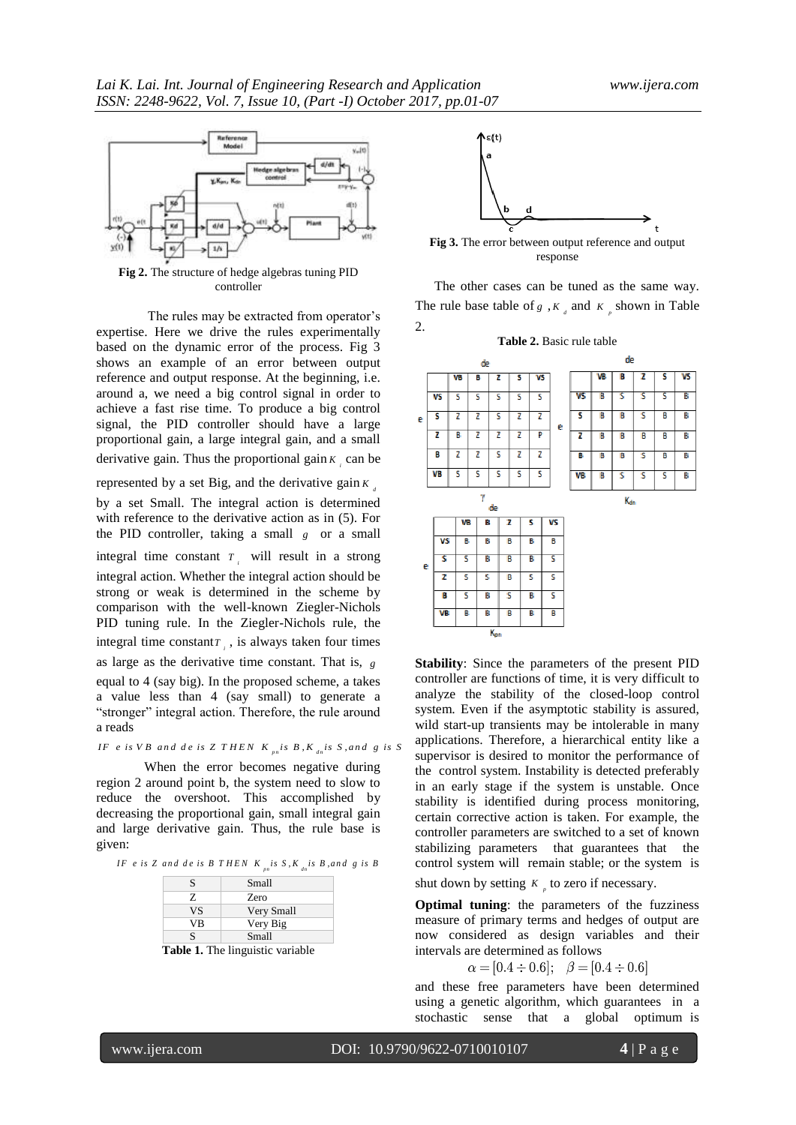

**Fig 2.** The structure of hedge algebras tuning PID controller

The rules may be extracted from operator's expertise. Here we drive the rules experimentally based on the dynamic error of the process. Fig 3 shows an example of an error between output reference and output response. At the beginning, i.e. around a, we need a big control signal in order to achieve a fast rise time. To produce a big control signal, the PID controller should have a large proportional gain, a large integral gain, and a small derivative gain. Thus the proportional gain  $K_i$  can be

represented by a set Big, and the derivative gain  $K_{a}$ 

by a set Small. The integral action is determined with reference to the derivative action as in (5). For the PID controller, taking a small  $g$  or a small

integral time constant  $T_i$  will result in a strong integral action. Whether the integral action should be strong or weak is determined in the scheme by comparison with the well-known Ziegler-Nichols PID tuning rule. In the Ziegler-Nichols rule, the integral time constant  $T$ <sub>i</sub>, is always taken four times

as large as the derivative time constant. That is, *g* equal to 4 (say big). In the proposed scheme, a takes a value less than 4 (say small) to generate a "stronger" integral action. Therefore, the rule around a reads areads<br>*IF e is VB and de is ZTHEN K<sub>pn</sub>is B*,K<sub>dn</sub>is S,and g is S

When the error becomes negative during region 2 around point b, the system need to slow to reduce the overshoot. This accomplished by decreasing the proportional gain, small integral gain and large derivative gain. Thus, the rule base is given:

**IN:**<br>IF eis Z and deis B THEN K  $_{ps}$  is S,K  $_{dn}$  is B, and g is B

| S         | Small        |
|-----------|--------------|
| Z.        | <b>Zero</b>  |
| <b>VS</b> | Very Small   |
| VB        | Very Big     |
| S         | <b>Small</b> |

**Table 1.** The linguistic variable



**Fig 3.** The error between output reference and output response

The other cases can be tuned as the same way. The rule base table of  $g$ ,  $K_d$  and  $K_p$  shown in Table



**Stability**: Since the parameters of the present PID controller are functions of time, it is very difficult to analyze the stability of the closed-loop control system. Even if the asymptotic stability is assured, wild start-up transients may be intolerable in many applications. Therefore, a hierarchical entity like a supervisor is desired to monitor the performance of the control system. Instability is detected preferably in an early stage if the system is unstable. Once stability is identified during process monitoring, certain corrective action is taken. For example, the controller parameters are switched to a set of known stabilizing parameters that guarantees that the control system will remain stable; or the system is

shut down by setting  $K_p$  to zero if necessary.

**Optimal tuning**: the parameters of the fuzziness measure of primary terms and hedges of output are now considered as design variables and their intervals are determined as follows

 $\alpha = [0.4 \div 0.6]; \quad \beta = [0.4 \div 0.6]$ 

and these free parameters have been determined using a genetic algorithm, which guarantees in a stochastic sense that a global optimum is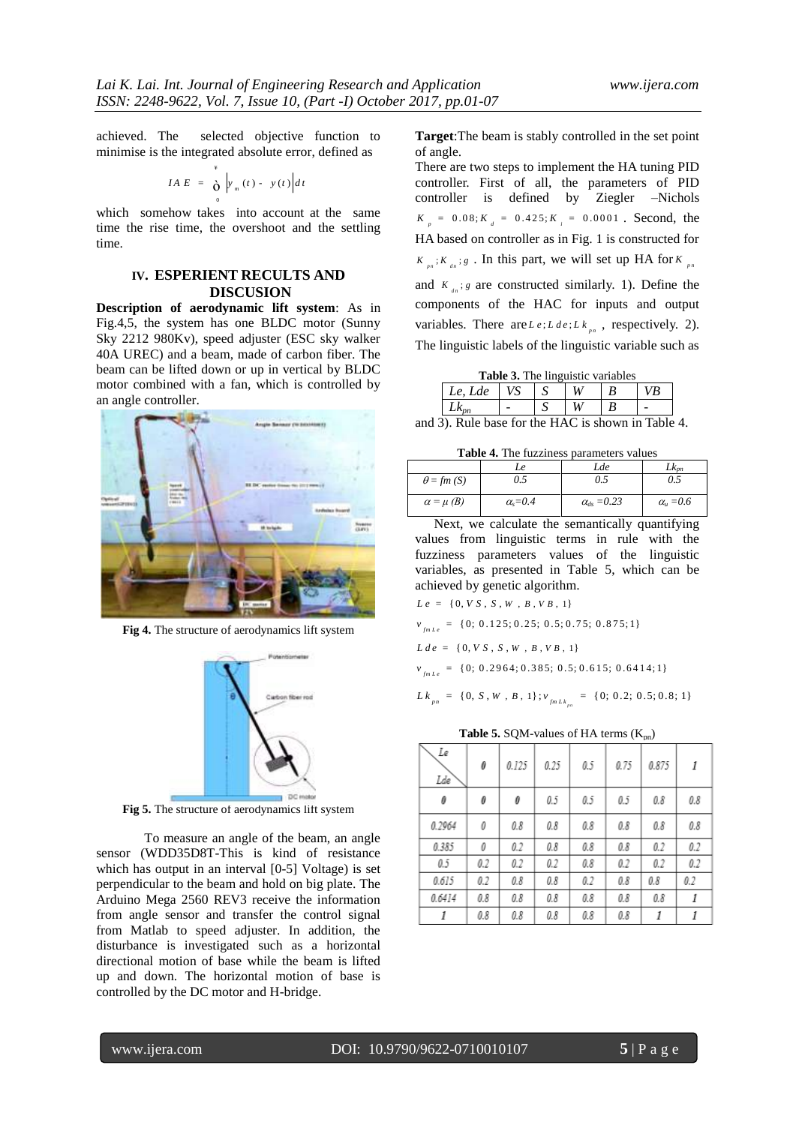achieved. The selected objective function to minimise is the integrated absolute error, defined as

$$
IA E = \int_{0}^{4} \left| y_{m}(t) - y(t) \right| dt
$$

which somehow takes into account at the same time the rise time, the overshoot and the settling time.

## **IV. ESPERIENT RECULTS AND DISCUSION**

**Description of aerodynamic lift system**: As in Fig.4,5, the system has one BLDC motor (Sunny Sky 2212 980Kv), speed adjuster (ESC sky walker 40A UREC) and a beam, made of carbon fiber. The beam can be lifted down or up in vertical by BLDC motor combined with a fan, which is controlled by an angle controller.



**Fig 4.** The structure of aerodynamics lift system



**Fig 5.** The structure of aerodynamics lift system

To measure an angle of the beam, an angle sensor (WDD35D8T-This is kind of resistance which has output in an interval [0-5] Voltage) is set perpendicular to the beam and hold on big plate. The Arduino Mega 2560 REV3 receive the information from angle sensor and transfer the control signal from Matlab to speed adjuster. In addition, the disturbance is investigated such as a horizontal directional motion of base while the beam is lifted up and down. The horizontal motion of base is controlled by the DC motor and H-bridge.

**Target**:The beam is stably controlled in the set point of angle.

There are two steps to implement the HA tuning PID controller. First of all, the parameters of PID controller is defined by Ziegler –Nichols  $K_p = 0.08; K_d = 0.425; K_i = 0.0001$ . Second, the HA based on controller as in Fig. 1 is constructed for  $K_{p_n}; K_{d_n}; g$ . In this part, we will set up HA for  $K_{p_n}$ and  $K_{a_n}$ ; *g* are constructed similarly. 1). Define the components of the HAC for inputs and output variables. There are  $L e$ ;  $L d e$ ;  $L k_{p_n}$ , respectively. 2). The linguistic labels of the linguistic variable such as

| <b>Table 3.</b> The linguistic variables |  |  |  |  |    |  |
|------------------------------------------|--|--|--|--|----|--|
| Le. Lde                                  |  |  |  |  | ∕B |  |
|                                          |  |  |  |  |    |  |

and 3). Rule base for the HAC is shown in Table 4.

**Table 4.** The fuzziness parameters values

| <b>Tuble 7.</b> The Iuppiness burunders values |                |                      |                  |  |  |  |
|------------------------------------------------|----------------|----------------------|------------------|--|--|--|
|                                                | Le             | Lde                  | $Lk_{pn}$        |  |  |  |
| $\theta = fm(S)$                               | Э.5            | 0.5                  | 0.5              |  |  |  |
| $\alpha = \mu$ (B)                             | $\alpha = 0.4$ | $\alpha_{ds} = 0.23$ | $\alpha_u = 0.6$ |  |  |  |

Next, we calculate the semantically quantifying values from linguistic terms in rule with the fuzziness parameters values of the linguistic variables, as presented in Table 5, which can be achieved by genetic algorithm.

 $L e = \{0, V S, S, W, B, V B, 1\}$ 

 $v_{mLe} = \{0; 0.125; 0.25; 0.5; 0.75; 0.875; 1\}$ 

 $L de = \{ 0, V S, S, W, B, V B, 1 \}$ 

 $v_{\scriptscriptstyle fmlce} = \{0; 0.2964; 0.385; 0.5; 0.615; 0.6414; 1\}$ 

 $L k_{p_n} = \{0, S, W, B, 1\}; v_{f_m L k_{p_n}} = \{0, 0.2; 0.5; 0.8; 1\}$ 

**Table 5.** SQM-values of HA terms  $(K_{pn})$ 

| Le<br>Lde | 0   | 0.125 | 0.25 | 0.5     | 0.75 | 0.875 | 1   |
|-----------|-----|-------|------|---------|------|-------|-----|
| 0         | 0   | 0     | 0.5  | 0.5     | 0.5  | 0.8   | 0.8 |
| 0.2964    | 0   | 0.8   | 0.8  | $0.8\,$ | 0.8  | 0.8   | 0.8 |
| 0.385     | 0   | 0.2   | 0.8  | 0.8     | 0.8  | 0.2   | 0.2 |
| 0.5       | 0.2 | 0.2   | 0.2  | 0.8     | 0.2  | 0.2   | 0.2 |
| 0.615     | 0.2 | 0.8   | 0.8  | 0.2     | 0.8  | 0.8   | 0.2 |
| 0.6414    | 0.8 | 0.8   | 0.8  | 0.8     | 0.8  | 0.8   | 1   |
| 1         | 0.8 | 0.8   | 0.8  | 0.8     | 0.8  | 1     | 1   |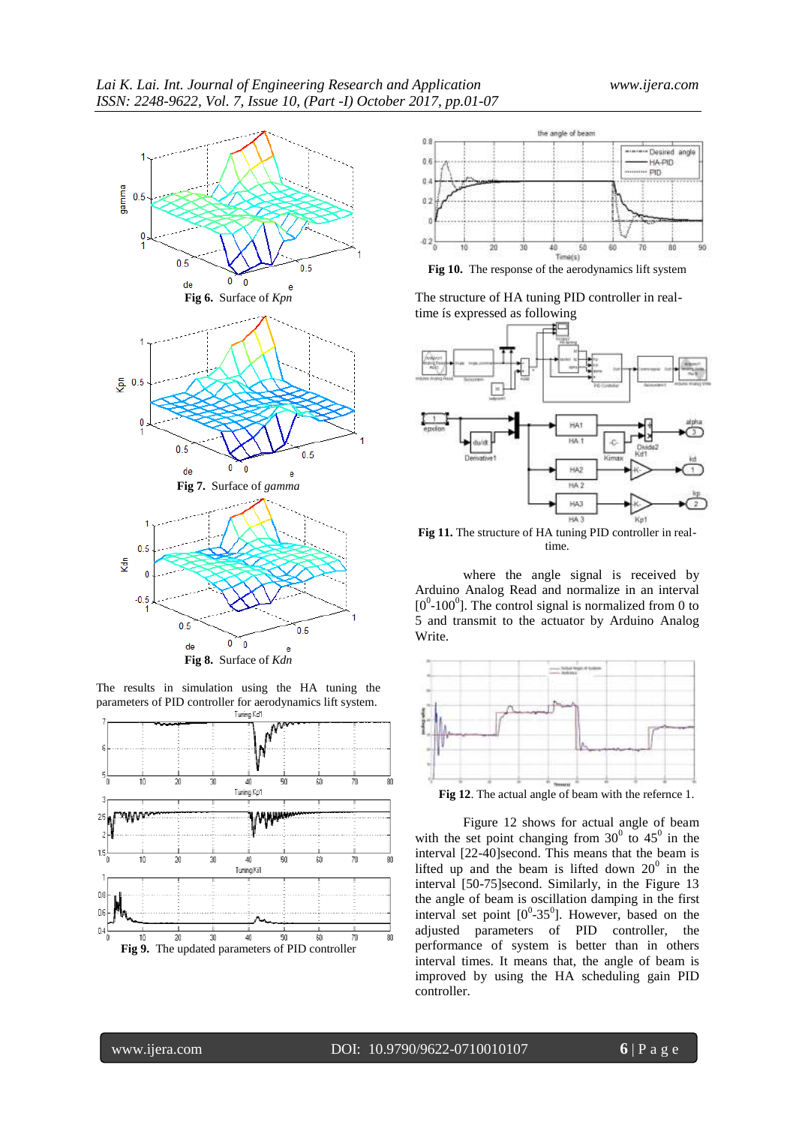

The results in simulation using the HA tuning the parameters of PID controller for aerodynamics lift system.





**Fig 10.** The response of the aerodynamics lift system

The structure of HA tuning PID controller in realtime ís expressed as following



**Fig 11.** The structure of HA tuning PID controller in realtime.

where the angle signal is received by Arduino Analog Read and normalize in an interval  $[0^0$ -100<sup>0</sup>]. The control signal is normalized from 0 to 5 and transmit to the actuator by Arduino Analog Write.



Figure 12 shows for actual angle of beam with the set point changing from  $30^0$  to  $45^0$  in the interval [22-40]second. This means that the beam is lifted up and the beam is lifted down  $20^0$  in the interval [50-75]second. Similarly, in the Figure 13 the angle of beam is oscillation damping in the first interval set point  $[0^0-35^0]$ . However, based on the adjusted parameters of PID controller, the performance of system is better than in others interval times. It means that, the angle of beam is improved by using the HA scheduling gain PID controller.